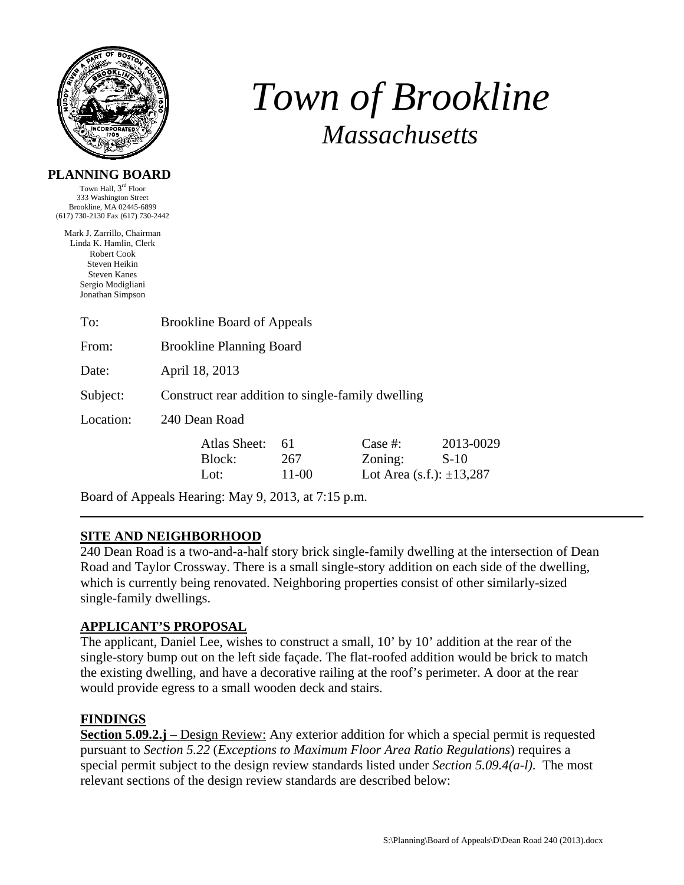

# *Town of Brookline Massachusetts*

#### **PLANNING BOARD**

Town Hall, 3rd Floor 333 Washington Street Brookline, MA 02445-6899 (617) 730-2130 Fax (617) 730-2442

Mark J. Zarrillo, Chairman Linda K. Hamlin, Clerk Robert Cook Steven Heikin Steven Kanes Sergio Modigliani Jonathan Simpson

| <b>Brookline Board of Appeals</b>                 |                                |                    |                                                        |                     |
|---------------------------------------------------|--------------------------------|--------------------|--------------------------------------------------------|---------------------|
| <b>Brookline Planning Board</b>                   |                                |                    |                                                        |                     |
| April 18, 2013                                    |                                |                    |                                                        |                     |
| Construct rear addition to single-family dwelling |                                |                    |                                                        |                     |
| 240 Dean Road                                     |                                |                    |                                                        |                     |
|                                                   | Atlas Sheet:<br>Block:<br>Lot: | 61<br>267<br>11-00 | Case $#$ :<br>Zoning:<br>Lot Area (s.f.): $\pm 13,287$ | 2013-0029<br>$S-10$ |
|                                                   |                                |                    |                                                        |                     |

Board of Appeals Hearing: May 9, 2013, at 7:15 p.m.

# **SITE AND NEIGHBORHOOD**

240 Dean Road is a two-and-a-half story brick single-family dwelling at the intersection of Dean Road and Taylor Crossway. There is a small single-story addition on each side of the dwelling, which is currently being renovated. Neighboring properties consist of other similarly-sized single-family dwellings.

# **APPLICANT'S PROPOSAL**

The applicant, Daniel Lee, wishes to construct a small, 10' by 10' addition at the rear of the single-story bump out on the left side façade. The flat-roofed addition would be brick to match the existing dwelling, and have a decorative railing at the roof's perimeter. A door at the rear would provide egress to a small wooden deck and stairs.

# **FINDINGS**

**Section 5.09.2.j** – Design Review: Any exterior addition for which a special permit is requested pursuant to *Section 5.22* (*Exceptions to Maximum Floor Area Ratio Regulations*) requires a special permit subject to the design review standards listed under *Section 5.09.4(a-l)*. The most relevant sections of the design review standards are described below: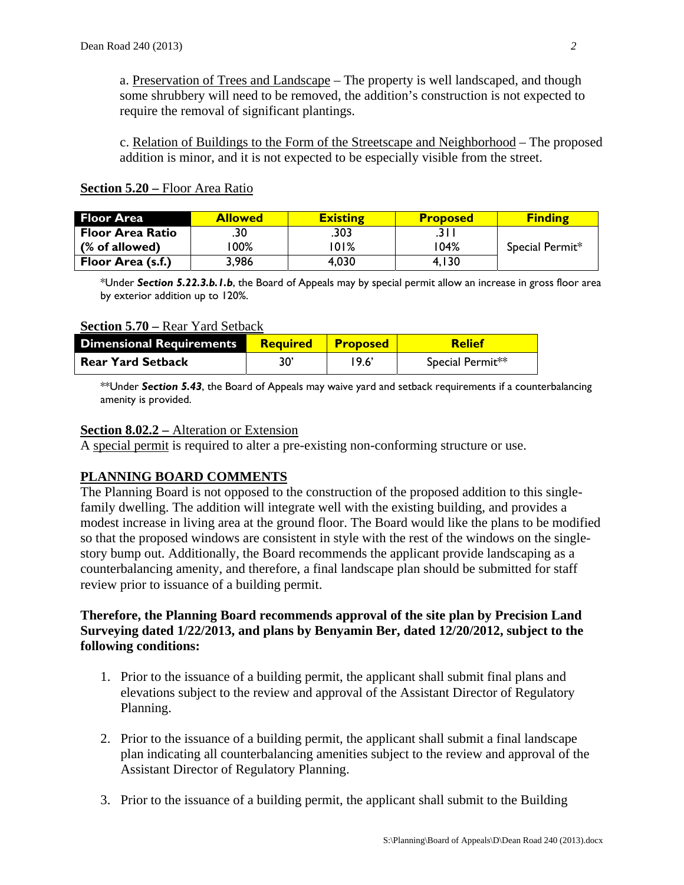a. Preservation of Trees and Landscape – The property is well landscaped, and though some shrubbery will need to be removed, the addition's construction is not expected to require the removal of significant plantings.

c. Relation of Buildings to the Form of the Streetscape and Neighborhood – The proposed addition is minor, and it is not expected to be especially visible from the street.

| <b>Floor Area</b>       | <b>Allowed</b> | <b>Existing</b> | <b>Proposed</b> | <b>Finding</b>  |
|-------------------------|----------------|-----------------|-----------------|-----------------|
| <b>Floor Area Ratio</b> | .30            | .303            |                 |                 |
| (% of allowed)          | 00%            | 01%             | 104%            | Special Permit* |
| Floor Area (s.f.)       | 3.986          | 4,030           | 4.I30           |                 |

#### **Section 5.20 –** Floor Area Ratio

\*Under *Section 5.22.3.b.1.b*, the Board of Appeals may by special permit allow an increase in gross floor area by exterior addition up to 120%.

#### **Section 5.70 –** Rear Yard Setback

| <b>Dimensional Requirements</b> | <b>Required</b> | <b>Proposed</b> | Relief           |
|---------------------------------|-----------------|-----------------|------------------|
| <b>Rear Yard Setback</b>        | 30'             | 19.6'           | Special Permit** |

\*\*Under *Section 5.43*, the Board of Appeals may waive yard and setback requirements if a counterbalancing amenity is provided.

#### **Section 8.02.2 –** Alteration or Extension

A special permit is required to alter a pre-existing non-conforming structure or use.

# **PLANNING BOARD COMMENTS**

The Planning Board is not opposed to the construction of the proposed addition to this singlefamily dwelling. The addition will integrate well with the existing building, and provides a modest increase in living area at the ground floor. The Board would like the plans to be modified so that the proposed windows are consistent in style with the rest of the windows on the singlestory bump out. Additionally, the Board recommends the applicant provide landscaping as a counterbalancing amenity, and therefore, a final landscape plan should be submitted for staff review prior to issuance of a building permit.

#### **Therefore, the Planning Board recommends approval of the site plan by Precision Land Surveying dated 1/22/2013, and plans by Benyamin Ber, dated 12/20/2012, subject to the following conditions:**

- 1. Prior to the issuance of a building permit, the applicant shall submit final plans and elevations subject to the review and approval of the Assistant Director of Regulatory Planning.
- 2. Prior to the issuance of a building permit, the applicant shall submit a final landscape plan indicating all counterbalancing amenities subject to the review and approval of the Assistant Director of Regulatory Planning.
- 3. Prior to the issuance of a building permit, the applicant shall submit to the Building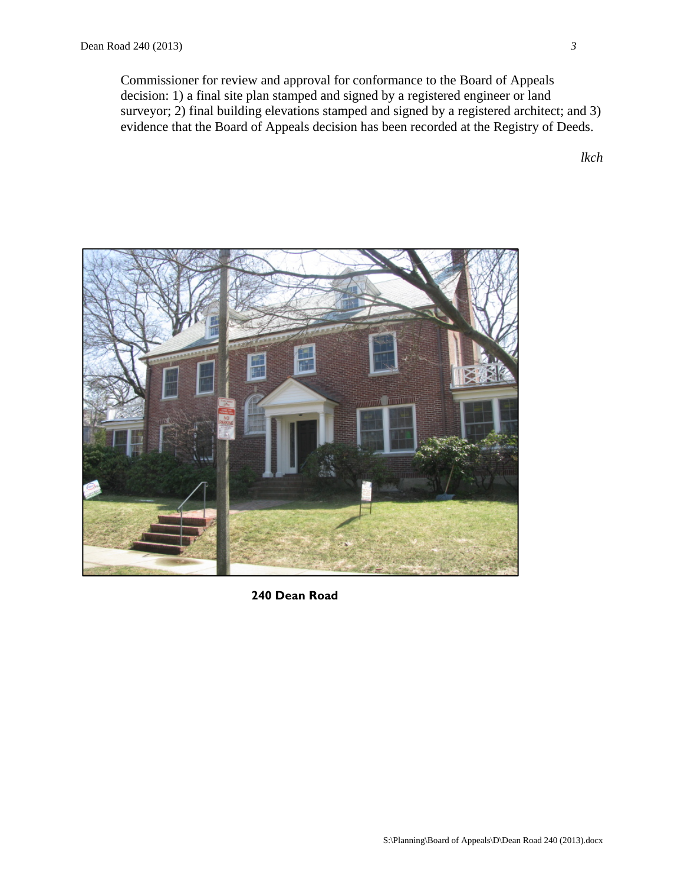Commissioner for review and approval for conformance to the Board of Appeals decision: 1) a final site plan stamped and signed by a registered engineer or land surveyor; 2) final building elevations stamped and signed by a registered architect; and 3) evidence that the Board of Appeals decision has been recorded at the Registry of Deeds.

*lkch* 



**240 Dean Road**